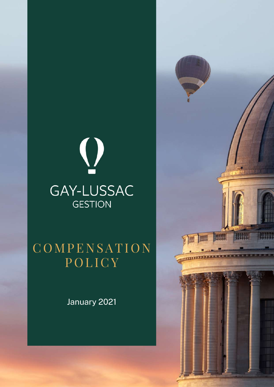# $\bigcirc$ GAY-LUSSAC **GESTION**

## **COMPENSATION** POLICY

January 2021

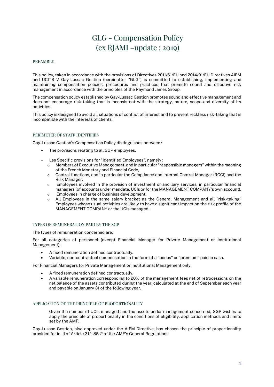### GLG - Compensation Policy (ex RJAMI –update : 2019)

#### PREAMBLE

This policy, taken in accordance with the provisions of Directives 2011/61/EU and 2014/91/EU Directives AIFM and UCITS V Gay-Lussac Gestion (hereinafter "GLG") is committed to establishing, implementing and maintaining compensation policies, procedures and practices that promote sound and effective risk management in accordance with the principles of the Raymond James Group.

The compensation policy established by Gay-Lussac Gestion promotes sound and effective management and does not encourage risk taking that is inconsistent with the strategy, nature, scope and diversity of its activities.

This policy is designed to avoid all situations of conflict of interest and to prevent reckless risk-taking that is incompatible with the interests of clients.

#### PERIMETER OF STAFF IDENTIFIES

Gay-Lussac Gestion's Compensation Policy distinguishes between :

- The provisions relating to all SGP employees,
- Les Specific provisions for "Identified Employees", namely :
	- $\circ$  Members of Executive Management, and in particular "responsible managers" within the meaning of the French Monetary and Financial Code,
	- $\circ$  Control functions, and in particular the Compliance and Internal Control Manager (RCCI) and the Risk Manager,
	- $\circ$  Employees involved in the provision of investment or ancillary services, in particular financial managers (of accounts under mandate, UCIs or for the MANAGEMENT COMPANY's own account).
	- o Employees in charge of business development.
	- o All Employees in the same salary bracket as the General Management and all "risk-taking" Employees whose usual activities are likely to have a significant impact on the risk profile of the MANAGEMENT COMPANY or the UCIs managed.

#### TYPES OF REMUNERATION PAID BY THE SGP

The types of remuneration concerned are:

For all categories of personnel (except Financial Manager for Private Management or Institutional Management):

- A fixed remuneration defined contractually.
- Variable, non-contractual compensation in the form of a "bonus" or "premium" paid in cash.

For Financial Managers for Private Management or Institutional Management only:

- A fixed remuneration defined contractually.
- A variable remuneration corresponding to 20% of the management fees net of retrocessions on the net balance of the assets contributed during the year, calculated at the end of September each year and payable on January 31 of the following year.

#### APPLICATION OF THE PRINCIPLE OF PROPORTIONALITY

Given the number of UCIs managed and the assets under management concerned, SGP wishes to apply the principle of proportionality in the conditions of eligibility, application methods and limits set by the AMF.

Gay-Lussac Gestion, also approved under the AIFM Directive, has chosen the principle of proportionality provided for in III of Article 314-85-2 of the AMF's General Regulations.